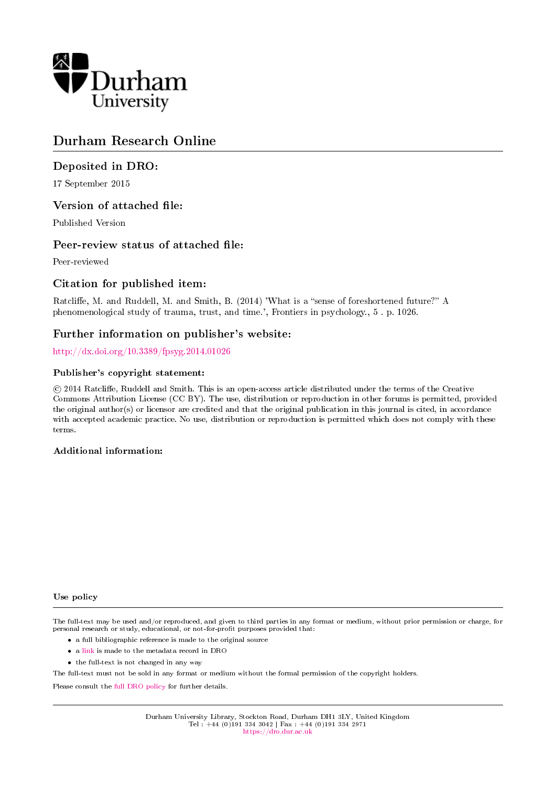

## Durham Research Online

## Deposited in DRO:

17 September 2015

## Version of attached file:

Published Version

## Peer-review status of attached file:

Peer-reviewed

## Citation for published item:

Ratcliffe, M. and Ruddell, M. and Smith, B. (2014) 'What is a "sense of foreshortened future?" A phenomenological study of trauma, trust, and time.', Frontiers in psychology., 5 . p. 1026.

## Further information on publisher's website:

<http://dx.doi.org/10.3389/fpsyg.2014.01026>

## Publisher's copyright statement:

 c 2014 Ratclie, Ruddell and Smith. This is an open-access article distributed under the terms of the Creative Commons Attribution License (CC BY). The use, distribution or reproduction in other forums is permitted, provided the original author(s) or licensor are credited and that the original publication in this journal is cited, in accordance with accepted academic practice. No use, distribution or reproduction is permitted which does not comply with these terms.

#### Additional information:

Use policy

The full-text may be used and/or reproduced, and given to third parties in any format or medium, without prior permission or charge, for personal research or study, educational, or not-for-profit purposes provided that:

- a full bibliographic reference is made to the original source
- a [link](http://dro.dur.ac.uk/16414/) is made to the metadata record in DRO
- the full-text is not changed in any way

The full-text must not be sold in any format or medium without the formal permission of the copyright holders.

Please consult the [full DRO policy](https://dro.dur.ac.uk/policies/usepolicy.pdf) for further details.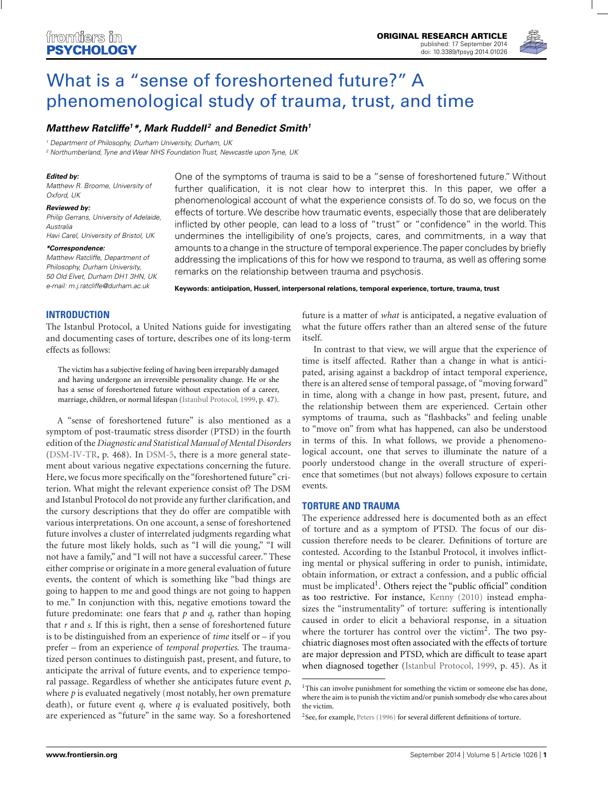

# What is a "sense of foreshortened future?" A [phenomenological study of trauma, trust, and time](http://www.frontiersin.org/Journal/10.3389/fpsyg.2014.01026/abstract)

## *[Matthew Ratcliffe1](http://community.frontiersin.org/people/u/90888)\*, [Mark Ruddell](http://community.frontiersin.org/people/u/181190) <sup>2</sup> and [Benedict Smith1](http://community.frontiersin.org/people/u/182221)*

<sup>1</sup> Department of Philosophy, Durham University, Durham, UK

<sup>2</sup> Northumberland, Tyne and Wear NHS Foundation Trust, Newcastle upon Tyne, UK

#### *Edited by:*

Matthew R. Broome, University of Oxford, UK

#### *Reviewed by:*

Philip Gerrans, University of Adelaide, Australia Havi Carel, University of Bristol, UK

*\*Correspondence:*

Matthew Ratcliffe, Department of

Philosophy, Durham University, 50 Old Elvet, Durham DH1 3HN, UK e-mail: [m.j.ratcliffe@durham.ac.uk](mailto:m.j.ratcliffe@durham.ac.uk)

One of the symptoms of trauma is said to be a "sense of foreshortened future." Without further qualification, it is not clear how to interpret this. In this paper, we offer a phenomenological account of what the experience consists of. To do so, we focus on the effects of torture.We describe how traumatic events, especially those that are deliberately inflicted by other people, can lead to a loss of "trust" or "confidence" in the world. This undermines the intelligibility of one's projects, cares, and commitments, in a way that amounts to a change in the structure of temporal experience.The paper concludes by briefly addressing the implications of this for how we respond to trauma, as well as offering some remarks on the relationship between trauma and psychosis.

**Keywords: anticipation, Husserl, interpersonal relations, temporal experience, torture, trauma, trust**

#### **INTRODUCTION**

The Istanbul Protocol, a United Nations guide for investigating and documenting cases of torture, describes one of its long-term effects as follows:

The victim has a subjective feeling of having been irreparably damaged and having undergone an irreversible personality change. He or she has a sense of foreshortened future without expectation of a career, marriage, children, or normal lifespan [\(Istanbul Protocol, 1999](#page-11-0), p. 47).

A "sense of foreshortened future" is also mentioned as a symptom of post-traumatic stress disorder (PTSD) in the fourth edition of the *Diagnostic and Statistical Manual of Mental Disorders* [\(DSM-IV-](#page-10-0)TR, p. 468). In [DSM-5](#page-10-0), there is a more general statement about various negative expectations concerning the future. Here, we focus more specifically on the "foreshortened future" criterion. What might the relevant experience consist of? The DSM and Istanbul Protocol do not provide any further clarification, and the cursory descriptions that they do offer are compatible with various interpretations. On one account, a sense of foreshortened future involves a cluster of interrelated judgments regarding what the future most likely holds, such as "I will die young," "I will not have a family," and "I will not have a successful career." These either comprise or originate in a more general evaluation of future events, the content of which is something like "bad things are going to happen to me and good things are not going to happen to me." In conjunction with this, negative emotions toward the future predominate: one fears that *p* and *q*, rather than hoping that *r* and *s*. If this is right, then a sense of foreshortened future is to be distinguished from an experience of *time* itself or – if you prefer – from an experience of *temporal properties*. The traumatized person continues to distinguish past, present, and future, to anticipate the arrival of future events, and to experience temporal passage. Regardless of whether she anticipates future event *p*, where *p* is evaluated negatively (most notably, her own premature death), or future event *q*, where *q* is evaluated positively, both are experienced as "future" in the same way. So a foreshortened future is a matter of *what* is anticipated, a negative evaluation of what the future offers rather than an altered sense of the future itself.

In contrast to that view, we will argue that the experience of time is itself affected. Rather than a change in what is anticipated, arising against a backdrop of intact temporal experience, there is an altered sense of temporal passage, of "moving forward" in time, along with a change in how past, present, future, and the relationship between them are experienced. Certain other symptoms of trauma, such as "flashbacks" and feeling unable to "move on" from what has happened, can also be understood in terms of this. In what follows, we provide a phenomenological account, one that serves to illuminate the nature of a poorly understood change in the overall structure of experience that sometimes (but not always) follows exposure to certain events.

#### **TORTURE AND TRAUMA**

The experience addressed here is documented both as an effect of torture and as a symptom of PTSD. The focus of our discussion therefore needs to be clearer. Definitions of torture are contested. According to the Istanbul Protocol, it involves inflicting mental or physical suffering in order to punish, intimidate, obtain information, or extract a confession, and a public official must be implicated<sup>1</sup>. Others reject the "public official" condition as too restrictive. For instance, [Kenny](#page-11-0) [\(2010\)](#page-11-0) instead emphasizes the "instrumentality" of torture: suffering is intentionally caused in order to elicit a behavioral response, in a situation where the torturer has control over the victim<sup>2</sup>. The two psychiatric diagnoses most often associated with the effects of torture are major depression and PTSD, which are difficult to tease apart when diagnosed together [\(Istanbul Protocol, 1999](#page-11-0), p. 45). As it

<sup>&</sup>lt;sup>1</sup>This can involve punishment for something the victim or someone else has done, where the aim is to punish the victim and/or punish somebody else who cares about the victim.

<sup>&</sup>lt;sup>2</sup>See, for example, [Peters](#page-11-0) [\(1996\)](#page-11-0) for several different definitions of torture.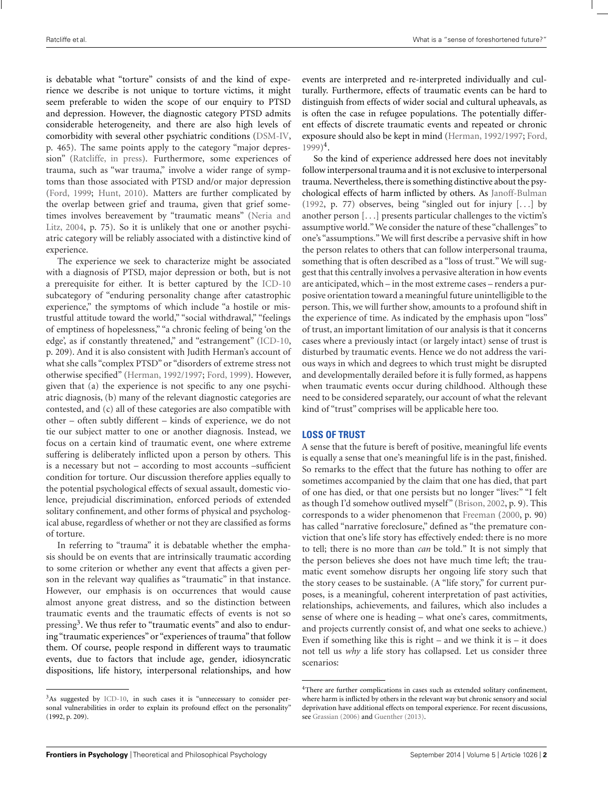is debatable what "torture" consists of and the kind of experience we describe is not unique to torture victims, it might seem preferable to widen the scope of our enquiry to PTSD and depression. However, the diagnostic category PTSD admits considerable heterogeneity, and there are also high levels of comorbidity with several other psychiatric conditions [\(DSM-IV,](#page-10-0) p. 465). The same points apply to the category "major depression" [\(Ratcliffe, in press](#page-11-0)). Furthermore, some experiences of trauma, such as "war trauma," involve a wider range of symptoms than those associated with PTSD and/or major depression [\(Ford, 1999;](#page-10-0) [Hunt](#page-11-0), [2010](#page-11-0)). Matters are further complicated by the overlap between grief and trauma, given that grief sometim[es involves bereavement by "traumatic means" \(](#page-11-0)Neria and Litz, [2004](#page-11-0), p. 75). So it is unlikely that one or another psychiatric category will be reliably associated with a distinctive kind of experience.

The experience we seek to characterize might be associated with a diagnosis of PTSD, major depression or both, but is not a prerequisite for either. It is better captured by the [ICD-10](#page-11-0) subcategory of "enduring personality change after catastrophic experience," the symptoms of which include "a hostile or mistrustful attitude toward the world," "social withdrawal," "feelings of emptiness of hopelessness," "a chronic feeling of being 'on the edge', as if constantly threatened," and "estrangement" [\(ICD-10,](#page-11-0) p. 209). And it is also consistent with Judith Herman's account of what she calls "complex PTSD" or "disorders of extreme stress not otherwise specified" [\(Herman, 1992/1997;](#page-10-0) [Ford, 1999](#page-10-0)). However, given that (a) the experience is not specific to any one psychiatric diagnosis, (b) many of the relevant diagnostic categories are contested, and (c) all of these categories are also compatible with other – often subtly different – kinds of experience, we do not tie our subject matter to one or another diagnosis. Instead, we focus on a certain kind of traumatic event, one where extreme suffering is deliberately inflicted upon a person by others. This is a necessary but not – according to most accounts –sufficient condition for torture. Our discussion therefore applies equally to the potential psychological effects of sexual assault, domestic violence, prejudicial discrimination, enforced periods of extended solitary confinement, and other forms of physical and psychological abuse, regardless of whether or not they are classified as forms of torture.

In referring to "trauma" it is debatable whether the emphasis should be on events that are intrinsically traumatic according to some criterion or whether any event that affects a given person in the relevant way qualifies as "traumatic" in that instance. However, our emphasis is on occurrences that would cause almost anyone great distress, and so the distinction between traumatic events and the traumatic effects of events is not so pressing<sup>3</sup>. We thus refer to "traumatic events" and also to enduring "traumatic experiences" or "experiences of trauma" that follow them. Of course, people respond in different ways to traumatic events, due to factors that include age, gender, idiosyncratic dispositions, life history, interpersonal relationships, and how

events are interpreted and re-interpreted individually and culturally. Furthermore, effects of traumatic events can be hard to distinguish from effects of wider social and cultural upheavals, as is often the case in refugee populations. The potentially different effects of discrete traumatic events and repeated or chronic exposure should also be kept in mind [\(Herman](#page-10-0), [1992/1997;](#page-10-0) [Ford,](#page-10-0)  $1999)^4$  $1999)^4$ .

So the kind of experience addressed here does not inevitably follow interpersonal trauma and it is not exclusive to interpersonal trauma. Nevertheless, there is something distinctive about the psychological effects of harm inflicted by others. As [Janoff-Bulman](#page-11-0) [\(1992,](#page-11-0) p. 77) observes, being "singled out for injury [...] by another person [...] presents particular challenges to the victim's assumptive world."We consider the nature of these "challenges" to one's "assumptions."We will first describe a pervasive shift in how the person relates to others that can follow interpersonal trauma, something that is often described as a "loss of trust." We will suggest that this centrally involves a pervasive alteration in how events are anticipated, which – in the most extreme cases – renders a purposive orientation toward a meaningful future unintelligible to the person. This, we will further show, amounts to a profound shift in the experience of time. As indicated by the emphasis upon "loss" of trust, an important limitation of our analysis is that it concerns cases where a previously intact (or largely intact) sense of trust is disturbed by traumatic events. Hence we do not address the various ways in which and degrees to which trust might be disrupted and developmentally derailed before it is fully formed, as happens when traumatic events occur during childhood. Although these need to be considered separately, our account of what the relevant kind of "trust" comprises will be applicable here too.

#### **LOSS OF TRUST**

A sense that the future is bereft of positive, meaningful life events is equally a sense that one's meaningful life is in the past, finished. So remarks to the effect that the future has nothing to offer are sometimes accompanied by the claim that one has died, that part of one has died, or that one persists but no longer "lives:" "I felt as though I'd somehow outlived myself" [\(Brison](#page-10-0), [2002,](#page-10-0) p. 9). This corresponds to a wider phenomenon that [Freeman](#page-10-0) [\(2000](#page-10-0), p. 90) has called "narrative foreclosure," defined as "the premature conviction that one's life story has effectively ended: there is no more to tell; there is no more than *can* be told." It is not simply that the person believes she does not have much time left; the traumatic event somehow disrupts her ongoing life story such that the story ceases to be sustainable. (A "life story," for current purposes, is a meaningful, coherent interpretation of past activities, relationships, achievements, and failures, which also includes a sense of where one is heading – what one's cares, commitments, and projects currently consist of, and what one seeks to achieve.) Even if something like this is right – and we think it is – it does not tell us *why* a life story has collapsed. Let us consider three scenarios:

<sup>&</sup>lt;sup>3</sup>As suggested by [ICD-10](#page-11-0), in such cases it is "unnecessary to consider personal vulnerabilities in order to explain its profound effect on the personality" (1992, p. 209).

<sup>&</sup>lt;sup>4</sup>There are further complications in cases such as extended solitary confinement, where harm is inflicted by others in the relevant way but chronic sensory and social deprivation have additional effects on temporal experience. For recent discussions, see [Grassian](#page-10-0) [\(2006\)](#page-10-0) and [Guenther](#page-10-0) [\(2013](#page-10-0)).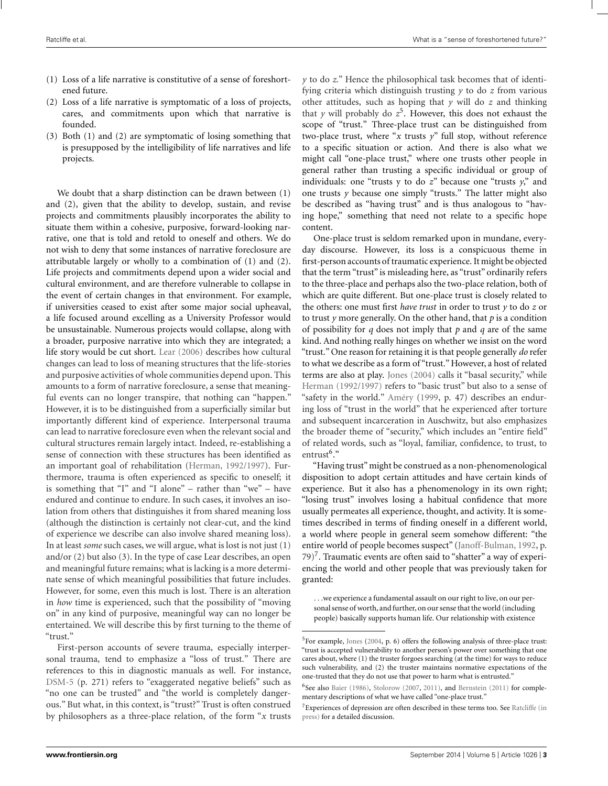- (1) Loss of a life narrative is constitutive of a sense of foreshortened future.
- (2) Loss of a life narrative is symptomatic of a loss of projects, cares, and commitments upon which that narrative is founded.
- (3) Both (1) and (2) are symptomatic of losing something that is presupposed by the intelligibility of life narratives and life projects.

We doubt that a sharp distinction can be drawn between (1) and (2), given that the ability to develop, sustain, and revise projects and commitments plausibly incorporates the ability to situate them within a cohesive, purposive, forward-looking narrative, one that is told and retold to oneself and others. We do not wish to deny that some instances of narrative foreclosure are attributable largely or wholly to a combination of (1) and (2). Life projects and commitments depend upon a wider social and cultural environment, and are therefore vulnerable to collapse in the event of certain changes in that environment. For example, if universities ceased to exist after some major social upheaval, a life focused around excelling as a University Professor would be unsustainable. Numerous projects would collapse, along with a broader, purposive narrative into which they are integrated; a life story would be cut short. [Lear](#page-11-0) [\(2006](#page-11-0)) describes how cultural changes can lead to loss of meaning structures that the life-stories and purposive activities of whole communities depend upon. This amounts to a form of narrative foreclosure, a sense that meaningful events can no longer transpire, that nothing can "happen." However, it is to be distinguished from a superficially similar but importantly different kind of experience. Interpersonal trauma can lead to narrative foreclosure even when the relevant social and cultural structures remain largely intact. Indeed, re-establishing a sense of connection with these structures has been identified as an important goal of rehabilitation [\(Herman, 1992/1997\)](#page-10-0). Furthermore, trauma is often experienced as specific to oneself; it is something that "I" and "I alone" – rather than "we" – have endured and continue to endure. In such cases, it involves an isolation from others that distinguishes it from shared meaning loss (although the distinction is certainly not clear-cut, and the kind of experience we describe can also involve shared meaning loss). In at least *some* such cases, we will argue, what is lost is not just (1) and/or (2) but also (3). In the type of case Lear describes, an open and meaningful future remains; what is lacking is a more determinate sense of which meaningful possibilities that future includes. However, for some, even this much is lost. There is an alteration in *how* time is experienced, such that the possibility of "moving on" in any kind of purposive, meaningful way can no longer be entertained. We will describe this by first turning to the theme of "trust."

First-person accounts of severe trauma, especially interpersonal trauma, tend to emphasize a "loss of trust." There are references to this in diagnostic manuals as well. For instance, [DSM-5](#page-10-0) (p. 271) refers to "exaggerated negative beliefs" such as "no one can be trusted" and "the world is completely dangerous." But what, in this context, is "trust?" Trust is often construed by philosophers as a three-place relation, of the form "*x* trusts *y* to do *z*." Hence the philosophical task becomes that of identifying criteria which distinguish trusting *y* to do *z* from various other attitudes, such as hoping that *y* will do *z* and thinking that  $y$  will probably do  $z^5$ . However, this does not exhaust the scope of "trust." Three-place trust can be distinguished from two-place trust, where "*x* trusts *y*" full stop, without reference to a specific situation or action. And there is also what we might call "one-place trust," where one trusts other people in general rather than trusting a specific individual or group of individuals: one "trusts y to do *z*" because one "trusts *y*," and one trusts *y* because one simply "trusts." The latter might also be described as "having trust" and is thus analogous to "having hope," something that need not relate to a specific hope content.

One-place trust is seldom remarked upon in mundane, everyday discourse. However, its loss is a conspicuous theme in first-person accounts of traumatic experience. It might be objected that the term "trust" is misleading here, as "trust" ordinarily refers to the three-place and perhaps also the two-place relation, both of which are quite different. But one-place trust is closely related to the others: one must first *have trust* in order to trust *y* to do *z* or to trust *y* more generally. On the other hand, that *p* is a condition of possibility for *q* does not imply that *p* and *q* are of the same kind. And nothing really hinges on whether we insist on the word "trust." One reason for retaining it is that people generally *do* refer to what we describe as a form of "trust." However, a host of related terms are also at play. [Jones](#page-11-0) [\(2004\)](#page-11-0) calls it "basal security," while [Herman](#page-10-0) [\(1992/1997](#page-10-0)) refers to "basic trust" but also to a sense of "safety in the world." [Améry](#page-10-0) [\(1999](#page-10-0), p. 47) describes an enduring loss of "trust in the world" that he experienced after torture and subsequent incarceration in Auschwitz, but also emphasizes the broader theme of "security," which includes an "entire field" of related words, such as "loyal, familiar, confidence, to trust, to entrust<sup>6</sup>."

"Having trust"might be construed as a non-phenomenological disposition to adopt certain attitudes and have certain kinds of experience. But it also has a phenomenology in its own right; "losing trust" involves losing a habitual confidence that more usually permeates all experience, thought, and activity. It is sometimes described in terms of finding oneself in a different world, a world where people in general seem somehow different: "the entire world of people becomes suspect" [\(Janoff-Bulman, 1992,](#page-11-0) p.  $79$ <sup>7</sup>. Traumatic events are often said to "shatter" a way of experiencing the world and other people that was previously taken for granted:

...we experience a fundamental assault on our right to live, on our personal sense of worth, and further, on our sense that the world (including people) basically supports human life. Our relationship with existence

<sup>5</sup>For example, [Jones](#page-11-0) [\(2004](#page-11-0), p. 6) offers the following analysis of three-place trust: "trust is accepted vulnerability to another person's power over something that one cares about, where (1) the truster forgoes searching (at the time) for ways to reduce such vulnerability, and (2) the truster maintains normative expectations of the one-trusted that they do not use that power to harm what is entrusted."

<sup>&</sup>lt;sup>6</sup>See also [Baier](#page-10-0) [\(1986\)](#page-10-0), [Stolorow](#page-11-0) [\(2007,](#page-11-0) [2011\)](#page-11-0), and [Bernstein](#page-10-0) [\(2011\)](#page-10-0) for complementary descriptions of what we have called "one-place trust."

<sup>7</sup>Ex[periences](#page-11-0) [of](#page-11-0) [depression](#page-11-0) [are](#page-11-0) [often](#page-11-0) [described](#page-11-0) [in](#page-11-0) [these](#page-11-0) [terms](#page-11-0) [too.](#page-11-0) [See](#page-11-0) [Ratcliffe](#page-11-0) (in press) for a detailed discussion.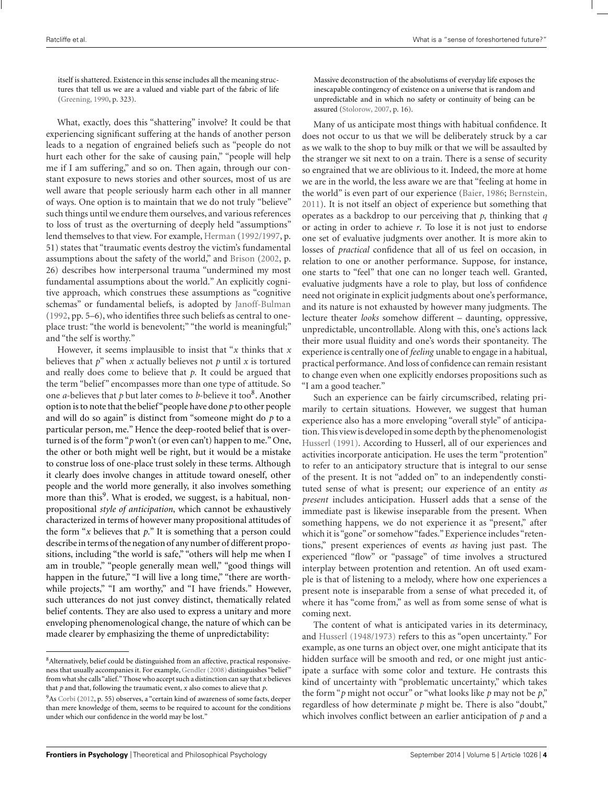itself is shattered. Existence in this sense includes all the meaning structures that tell us we are a valued and viable part of the fabric of life [\(Greening, 1990,](#page-10-0) p. 323).

What, exactly, does this "shattering" involve? It could be that experiencing significant suffering at the hands of another person leads to a negation of engrained beliefs such as "people do not hurt each other for the sake of causing pain," "people will help me if I am suffering," and so on. Then again, through our constant exposure to news stories and other sources, most of us are well aware that people seriously harm each other in all manner of ways. One option is to maintain that we do not truly "believe" such things until we endure them ourselves, and various references to loss of trust as the overturning of deeply held "assumptions" lend themselves to that view. For example, [Herman](#page-10-0) [\(1992/1997,](#page-10-0) p. 51) states that "traumatic events destroy the victim's fundamental assumptions about the safety of the world," and [Brison](#page-10-0) [\(2002](#page-10-0), p. 26) describes how interpersonal trauma "undermined my most fundamental assumptions about the world." An explicitly cognitive approach, which construes these assumptions as "cognitive schemas" or fundamental beliefs, is adopted by [Janoff-Bulman](#page-11-0) [\(1992](#page-11-0), pp. 5–6), who identifies three such beliefs as central to oneplace trust: "the world is benevolent;" "the world is meaningful;" and "the self is worthy."

However, it seems implausible to insist that "*x* thinks that *x* believes that  $p^{\prime\prime}$  when *x* actually believes not *p* until *x* is tortured and really does come to believe that *p*. It could be argued that the term "belief" encompasses more than one type of attitude. So one *a*-believes that *p* but later comes to *b*-believe it too8. Another option is to note that the belief "people have done *p* to other people and will do so again" is distinct from "someone might do *p* to a particular person, me." Hence the deep-rooted belief that is overturned is of the form "*p* won't (or even can't) happen to me." One, the other or both might well be right, but it would be a mistake to construe loss of one-place trust solely in these terms. Although it clearly does involve changes in attitude toward oneself, other people and the world more generally, it also involves something more than this<sup>9</sup>. What is eroded, we suggest, is a habitual, nonpropositional *style of anticipation*, which cannot be exhaustively characterized in terms of however many propositional attitudes of the form "*x* believes that *p*." It is something that a person could describe in terms of the negation of any number of different propositions, including "the world is safe," "others will help me when I am in trouble," "people generally mean well," "good things will happen in the future," "I will live a long time," "there are worthwhile projects," "I am worthy," and "I have friends." However, such utterances do not just convey distinct, thematically related belief contents. They are also used to express a unitary and more enveloping phenomenological change, the nature of which can be made clearer by emphasizing the theme of unpredictability:

Massive deconstruction of the absolutisms of everyday life exposes the inescapable contingency of existence on a universe that is random and unpredictable and in which no safety or continuity of being can be assured [\(Stolorow](#page-11-0), [2007](#page-11-0), p. 16).

Many of us anticipate most things with habitual confidence. It does not occur to us that we will be deliberately struck by a car as we walk to the shop to buy milk or that we will be assaulted by the stranger we sit next to on a train. There is a sense of security so engrained that we are oblivious to it. Indeed, the more at home we are in the world, the less aware we are that "feeling at home in the world" is even part of our experience [\(Baier](#page-10-0), [1986](#page-10-0); [Bernstein,](#page-10-0) [2011](#page-10-0)). It is not itself an object of experience but something that operates as a backdrop to our perceiving that *p*, thinking that *q* or acting in order to achieve *r*. To lose it is not just to endorse one set of evaluative judgments over another. It is more akin to losses of *practical* confidence that all of us feel on occasion, in relation to one or another performance. Suppose, for instance, one starts to "feel" that one can no longer teach well. Granted, evaluative judgments have a role to play, but loss of confidence need not originate in explicit judgments about one's performance, and its nature is not exhausted by however many judgments. The lecture theater *looks* somehow different – daunting, oppressive, unpredictable, uncontrollable. Along with this, one's actions lack their more usual fluidity and one's words their spontaneity. The experience is centrally one of *feeling* unable to engage in a habitual, practical performance. And loss of confidence can remain resistant to change even when one explicitly endorses propositions such as "I am a good teacher."

Such an experience can be fairly circumscribed, relating primarily to certain situations. However, we suggest that human experience also has a more enveloping "overall style" of anticipation. This view is developed in some depth by the phenomenologist [Husserl](#page-11-0) [\(1991](#page-11-0)). According to Husserl, all of our experiences and activities incorporate anticipation. He uses the term "protention" to refer to an anticipatory structure that is integral to our sense of the present. It is not "added on" to an independently constituted sense of what is present; our experience of an entity *as present* includes anticipation. Husserl adds that a sense of the immediate past is likewise inseparable from the present. When something happens, we do not experience it as "present," after which it is "gone" or somehow "fades." Experience includes "retentions," present experiences of events *as* having just past. The experienced "flow" or "passage" of time involves a structured interplay between protention and retention. An oft used example is that of listening to a melody, where how one experiences a present note is inseparable from a sense of what preceded it, of where it has "come from," as well as from some sense of what is coming next.

The content of what is anticipated varies in its determinacy, and [Husserl](#page-11-0) [\(1948/1973](#page-11-0)) refers to this as "open uncertainty." For example, as one turns an object over, one might anticipate that its hidden surface will be smooth and red, or one might just anticipate a surface with some color and texture. He contrasts this kind of uncertainty with "problematic uncertainty," which takes the form "*p* might not occur" or "what looks like *p* may not be *p*," regardless of how determinate *p* might be. There is also "doubt," which involves conflict between an earlier anticipation of *p* and a

<sup>8</sup>Alternatively, belief could be distinguished from an affective, practical responsiveness that usually accompanies it. For example, [Gendler](#page-10-0) [\(2008\)](#page-10-0) distinguishes "belief" from what she calls"alief."Those who accept such a distinction can say that *x* believes that *p* and that, following the traumatic event, *x* also comes to alieve that *p*.

<sup>9</sup>As [Corbí](#page-10-0) [\(2012,](#page-10-0) p. 55) observes, a "certain kind of awareness of some facts, deeper than mere knowledge of them, seems to be required to account for the conditions under which our confidence in the world may be lost."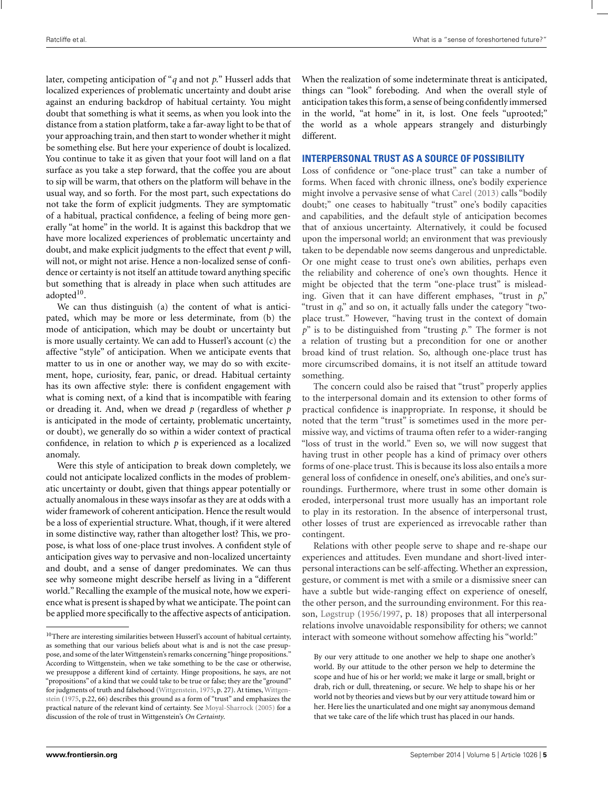later, competing anticipation of "*q* and not *p*." Husserl adds that localized experiences of problematic uncertainty and doubt arise against an enduring backdrop of habitual certainty. You might doubt that something is what it seems, as when you look into the distance from a station platform, take a far-away light to be that of your approaching train, and then start to wonder whether it might be something else. But here your experience of doubt is localized. You continue to take it as given that your foot will land on a flat surface as you take a step forward, that the coffee you are about to sip will be warm, that others on the platform will behave in the usual way, and so forth. For the most part, such expectations do not take the form of explicit judgments. They are symptomatic of a habitual, practical confidence, a feeling of being more generally "at home" in the world. It is against this backdrop that we have more localized experiences of problematic uncertainty and doubt, and make explicit judgments to the effect that event *p* will, will not, or might not arise. Hence a non-localized sense of confidence or certainty is not itself an attitude toward anything specific but something that is already in place when such attitudes are adopted $10$ .

We can thus distinguish (a) the content of what is anticipated, which may be more or less determinate, from (b) the mode of anticipation, which may be doubt or uncertainty but is more usually certainty. We can add to Husserl's account (c) the affective "style" of anticipation. When we anticipate events that matter to us in one or another way, we may do so with excitement, hope, curiosity, fear, panic, or dread. Habitual certainty has its own affective style: there is confident engagement with what is coming next, of a kind that is incompatible with fearing or dreading it. And, when we dread *p* (regardless of whether *p* is anticipated in the mode of certainty, problematic uncertainty, or doubt), we generally do so within a wider context of practical confidence, in relation to which *p* is experienced as a localized anomaly.

Were this style of anticipation to break down completely, we could not anticipate localized conflicts in the modes of problematic uncertainty or doubt, given that things appear potentially or actually anomalous in these ways insofar as they are at odds with a wider framework of coherent anticipation. Hence the result would be a loss of experiential structure. What, though, if it were altered in some distinctive way, rather than altogether lost? This, we propose, is what loss of one-place trust involves. A confident style of anticipation gives way to pervasive and non-localized uncertainty and doubt, and a sense of danger predominates. We can thus see why someone might describe herself as living in a "different world." Recalling the example of the musical note, how we experience what is present is shaped by what we anticipate. The point can be applied more specifically to the affective aspects of anticipation. When the realization of some indeterminate threat is anticipated, things can "look" foreboding. And when the overall style of anticipation takes this form, a sense of being confidently immersed in the world, "at home" in it, is lost. One feels "uprooted;" the world as a whole appears strangely and disturbingly different.

#### **INTERPERSONAL TRUST AS A SOURCE OF POSSIBILITY**

Loss of confidence or "one-place trust" can take a number of forms. When faced with chronic illness, one's bodily experience might involve a pervasive sense of what [Carel](#page-10-0) [\(2013](#page-10-0)) calls "bodily doubt;" one ceases to habitually "trust" one's bodily capacities and capabilities, and the default style of anticipation becomes that of anxious uncertainty. Alternatively, it could be focused upon the impersonal world; an environment that was previously taken to be dependable now seems dangerous and unpredictable. Or one might cease to trust one's own abilities, perhaps even the reliability and coherence of one's own thoughts. Hence it might be objected that the term "one-place trust" is misleading. Given that it can have different emphases, "trust in *p*," "trust in *q*," and so on, it actually falls under the category "twoplace trust." However, "having trust in the context of domain *p*" is to be distinguished from "trusting *p*." The former is not a relation of trusting but a precondition for one or another broad kind of trust relation. So, although one-place trust has more circumscribed domains, it is not itself an attitude toward something.

The concern could also be raised that "trust" properly applies to the interpersonal domain and its extension to other forms of practical confidence is inappropriate. In response, it should be noted that the term "trust" is sometimes used in the more permissive way, and victims of trauma often refer to a wider-ranging "loss of trust in the world." Even so, we will now suggest that having trust in other people has a kind of primacy over others forms of one-place trust. This is because its loss also entails a more general loss of confidence in oneself, one's abilities, and one's surroundings. Furthermore, where trust in some other domain is eroded, interpersonal trust more usually has an important role to play in its restoration. In the absence of interpersonal trust, other losses of trust are experienced as irrevocable rather than contingent.

Relations with other people serve to shape and re-shape our experiences and attitudes. Even mundane and short-lived interpersonal interactions can be self-affecting. Whether an expression, gesture, or comment is met with a smile or a dismissive sneer can have a subtle but wide-ranging effect on experience of oneself, the other person, and the surrounding environment. For this reason, [Løgstrup](#page-11-0) [\(1956/1997](#page-11-0), p. 18) proposes that all interpersonal relations involve unavoidable responsibility for others; we cannot interact with someone without somehow affecting his "world:"

<sup>&</sup>lt;sup>10</sup>There are interesting similarities between Husserl's account of habitual certainty, as something that our various beliefs about what is and is not the case presuppose, and some of the later Wittgenstein's remarks concerning "hinge propositions." According to Wittgenstein, when we take something to be the case or otherwise, we presuppose a different kind of certainty. Hinge propositions, he says, are not "propositions" of a kind that we could take to be true or false; they are the "ground" for j[udgments](#page-11-0) [of](#page-11-0) [truth](#page-11-0) [and](#page-11-0) [falsehood](#page-11-0) [\(Wittgenstein, 1975,](#page-11-0) [p.](#page-11-0) [27\).](#page-11-0) [At](#page-11-0) [times,](#page-11-0) Wittgenstein [\(1975](#page-11-0), p.22, 66) describes this ground as a form of "trust" and emphasizes the practical nature of the relevant kind of certainty. See [Moyal-Sharrock](#page-11-0) [\(2005](#page-11-0)) for a discussion of the role of trust in Wittgenstein's *On Certainty*.

By our very attitude to one another we help to shape one another's world. By our attitude to the other person we help to determine the scope and hue of his or her world; we make it large or small, bright or drab, rich or dull, threatening, or secure. We help to shape his or her world not by theories and views but by our very attitude toward him or her. Here lies the unarticulated and one might say anonymous demand that we take care of the life which trust has placed in our hands.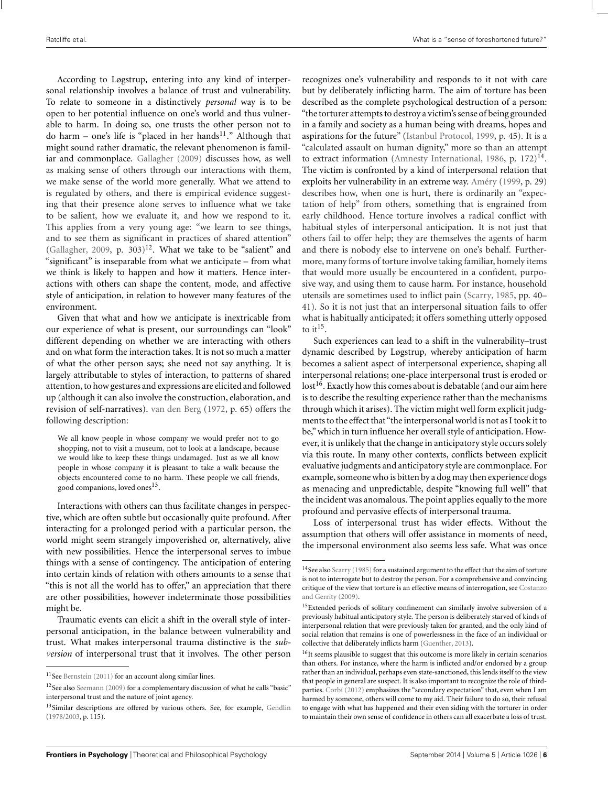According to Løgstrup, entering into any kind of interpersonal relationship involves a balance of trust and vulnerability. To relate to someone in a distinctively *personal* way is to be open to her potential influence on one's world and thus vulnerable to harm. In doing so, one trusts the other person not to do harm – one's life is "placed in her hands<sup>11</sup>." Although that might sound rather dramatic, the relevant phenomenon is familiar and commonplace. [Gallagher](#page-10-0) [\(2009](#page-10-0)) discusses how, as well as making sense of others through our interactions with them, we make sense of the world more generally. What we attend to is regulated by others, and there is empirical evidence suggesting that their presence alone serves to influence what we take to be salient, how we evaluate it, and how we respond to it. This applies from a very young age: "we learn to see things, and to see them as significant in practices of shared attention" [\(Gallagher](#page-10-0), [2009,](#page-10-0) p. 303)<sup>12</sup>. What we take to be "salient" and "significant" is inseparable from what we anticipate – from what we think is likely to happen and how it matters. Hence interactions with others can shape the content, mode, and affective style of anticipation, in relation to however many features of the environment.

Given that what and how we anticipate is inextricable from our experience of what is present, our surroundings can "look" different depending on whether we are interacting with others and on what form the interaction takes. It is not so much a matter of what the other person says; she need not say anything. It is largely attributable to styles of interaction, to patterns of shared attention, to how gestures and expressions are elicited andfollowed up (although it can also involve the construction, elaboration, and revision of self-narratives). [van den Berg](#page-11-0) [\(1972,](#page-11-0) p. 65) offers the following description:

We all know people in whose company we would prefer not to go shopping, not to visit a museum, not to look at a landscape, because we would like to keep these things undamaged. Just as we all know people in whose company it is pleasant to take a walk because the objects encountered come to no harm. These people we call friends, good companions, loved ones<sup>13</sup>.

Interactions with others can thus facilitate changes in perspective, which are often subtle but occasionally quite profound. After interacting for a prolonged period with a particular person, the world might seem strangely impoverished or, alternatively, alive with new possibilities. Hence the interpersonal serves to imbue things with a sense of contingency. The anticipation of entering into certain kinds of relation with others amounts to a sense that "this is not all the world has to offer," an appreciation that there are other possibilities, however indeterminate those possibilities might be.

Traumatic events can elicit a shift in the overall style of interpersonal anticipation, in the balance between vulnerability and trust. What makes interpersonal trauma distinctive is the *subversion* of interpersonal trust that it involves. The other person recognizes one's vulnerability and responds to it not with care but by deliberately inflicting harm. The aim of torture has been described as the complete psychological destruction of a person: "the torturer attempts to destroy a victim's sense of being grounded in a family and society as a human being with dreams, hopes and aspirations for the future" [\(Istanbul Protocol, 1999,](#page-11-0) p. 45). It is a "calculated assault on human dignity," more so than an attempt to extract information [\(Amnesty International](#page-10-0), [1986,](#page-10-0) p.  $172$ )<sup>14</sup>. The victim is confronted by a kind of interpersonal relation that exploits her vulnerability in an extreme way. [Améry](#page-10-0) [\(1999](#page-10-0), p. 29) describes how, when one is hurt, there is ordinarily an "expectation of help" from others, something that is engrained from early childhood. Hence torture involves a radical conflict with habitual styles of interpersonal anticipation. It is not just that others fail to offer help; they are themselves the agents of harm and there is nobody else to intervene on one's behalf. Furthermore, many forms of torture involve taking familiar, homely items that would more usually be encountered in a confident, purposive way, and using them to cause harm. For instance, household utensils are sometimes used to inflict pain [\(Scarry, 1985,](#page-11-0) pp. 40– 41). So it is not just that an interpersonal situation fails to offer what is habitually anticipated; it offers something utterly opposed to it<sup>15</sup>.

Such experiences can lead to a shift in the vulnerability–trust dynamic described by Løgstrup, whereby anticipation of harm becomes a salient aspect of interpersonal experience, shaping all interpersonal relations; one-place interpersonal trust is eroded or  $\mathrm{lost}^{16}$ . Exactly how this comes about is debatable (and our aim here is to describe the resulting experience rather than the mechanisms through which it arises). The victim might well form explicit judgments to the effect that"the interpersonal world is not as I took it to be," which in turn influence her overall style of anticipation. However, it is unlikely that the change in anticipatory style occurs solely via this route. In many other contexts, conflicts between explicit evaluative judgments and anticipatory style are commonplace. For example, someone who is bitten by a dog may then experience dogs as menacing and unpredictable, despite "knowing full well" that the incident was anomalous. The point applies equally to the more profound and pervasive effects of interpersonal trauma.

Loss of interpersonal trust has wider effects. Without the assumption that others will offer assistance in moments of need, the impersonal environment also seems less safe. What was once

 $^{11}$  See [Bernstein](#page-10-0) [\(2011](#page-10-0)) for an account along similar lines.

<sup>&</sup>lt;sup>12</sup>See also [Seemann](#page-11-0) [\(2009](#page-11-0)) for a complementary discussion of what he calls "basic" interpersonal trust and the nature of joint agency.

<sup>13</sup> Similar descriptions are offered by various others. See, for example, [Gendlin](#page-10-0) [\(1978/2003](#page-10-0), p. 115).

 $^{14}$ See also [Scarry](#page-11-0) [\(1985\)](#page-11-0) for a sustained argument to the effect that the aim of torture is not to interrogate but to destroy the person. For a comprehensive and convincing critique of [the](#page-10-0) [view](#page-10-0) [that](#page-10-0) [torture](#page-10-0) [is](#page-10-0) [an](#page-10-0) [effective](#page-10-0) [means](#page-10-0) [of](#page-10-0) [interrogation,](#page-10-0) [see](#page-10-0) Costanzo and Gerrity [\(2009\)](#page-10-0).

<sup>&</sup>lt;sup>15</sup>Extended periods of solitary confinement can similarly involve subversion of a previously habitual anticipatory style. The person is deliberately starved of kinds of interpersonal relation that were previously taken for granted, and the only kind of social relation that remains is one of powerlessness in the face of an individual or collective that deliberately inflicts harm [\(Guenther, 2013](#page-10-0)).

<sup>&</sup>lt;sup>16</sup>It seems plausible to suggest that this outcome is more likely in certain scenarios than others. For instance, where the harm is inflicted and/or endorsed by a group rather than an individual, perhaps even state-sanctioned, this lends itself to the view that people in general are suspect. It is also important to recognize the role of thirdparties. [Corbí](#page-10-0) [\(2012](#page-10-0)) emphasizes the "secondary expectation" that, even when I am harmed by someone, others will come to my aid. Their failure to do so, their refusal to engage with what has happened and their even siding with the torturer in order to maintain their own sense of confidence in others can all exacerbate a loss of trust.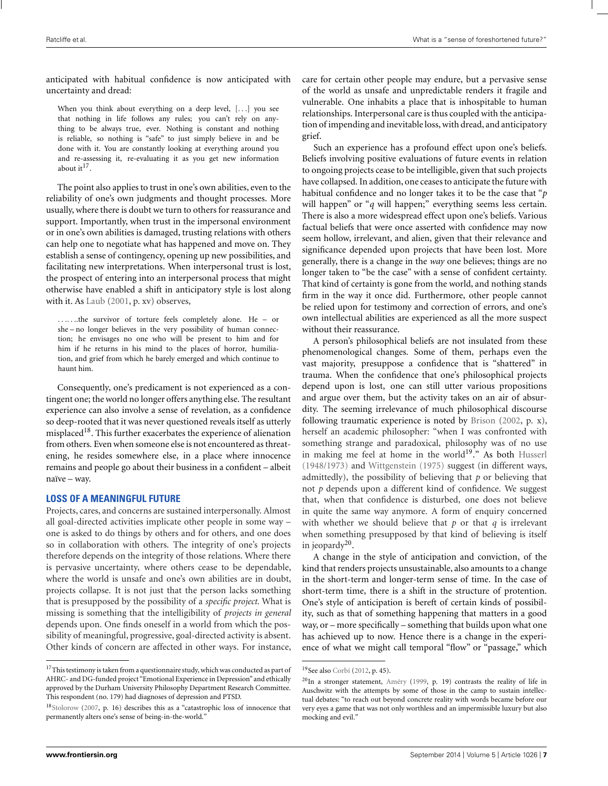anticipated with habitual confidence is now anticipated with uncertainty and dread:

When you think about everything on a deep level, [...] you see that nothing in life follows any rules; you can't rely on anything to be always true, ever. Nothing is constant and nothing is reliable, so nothing is "safe" to just simply believe in and be done with it. You are constantly looking at everything around you and re-assessing it, re-evaluating it as you get new information about it $^{17}$ .

The point also applies to trust in one's own abilities, even to the reliability of one's own judgments and thought processes. More usually, where there is doubt we turn to others for reassurance and support. Importantly, when trust in the impersonal environment or in one's own abilities is damaged, trusting relations with others can help one to negotiate what has happened and move on. They establish a sense of contingency, opening up new possibilities, and facilitating new interpretations. When interpersonal trust is lost, the prospect of entering into an interpersonal process that might otherwise have enabled a shift in anticipatory style is lost along with it. As [Laub](#page-11-0) [\(2001,](#page-11-0) p. xv) observes,

......the survivor of torture feels completely alone. He – or she – no longer believes in the very possibility of human connection; he envisages no one who will be present to him and for him if he returns in his mind to the places of horror, humiliation, and grief from which he barely emerged and which continue to haunt him.

Consequently, one's predicament is not experienced as a contingent one; the world no longer offers anything else. The resultant experience can also involve a sense of revelation, as a confidence so deep-rooted that it was never questioned reveals itself as utterly misplaced18. This further exacerbates the experience of alienation from others. Even when someone else is not encountered as threatening, he resides somewhere else, in a place where innocence remains and people go about their business in a confident – albeit naïve – way.

#### **LOSS OF A MEANINGFUL FUTURE**

Projects, cares, and concerns are sustained interpersonally. Almost all goal-directed activities implicate other people in some way – one is asked to do things by others and for others, and one does so in collaboration with others. The integrity of one's projects therefore depends on the integrity of those relations. Where there is pervasive uncertainty, where others cease to be dependable, where the world is unsafe and one's own abilities are in doubt, projects collapse. It is not just that the person lacks something that is presupposed by the possibility of a *specific project*. What is missing is something that the intelligibility of *projects in general* depends upon. One finds oneself in a world from which the possibility of meaningful, progressive, goal-directed activity is absent. Other kinds of concern are affected in other ways. For instance, care for certain other people may endure, but a pervasive sense of the world as unsafe and unpredictable renders it fragile and vulnerable. One inhabits a place that is inhospitable to human relationships. Interpersonal care is thus coupled with the anticipation of impending and inevitable loss, with dread, and anticipatory grief.

Such an experience has a profound effect upon one's beliefs. Beliefs involving positive evaluations of future events in relation to ongoing projects cease to be intelligible, given that such projects have collapsed. In addition, one ceases to anticipate the future with habitual confidence and no longer takes it to be the case that "*p* will happen" or "*q* will happen;" everything seems less certain. There is also a more widespread effect upon one's beliefs. Various factual beliefs that were once asserted with confidence may now seem hollow, irrelevant, and alien, given that their relevance and significance depended upon projects that have been lost. More generally, there is a change in the *way* one believes; things are no longer taken to "be the case" with a sense of confident certainty. That kind of certainty is gone from the world, and nothing stands firm in the way it once did. Furthermore, other people cannot be relied upon for testimony and correction of errors, and one's own intellectual abilities are experienced as all the more suspect without their reassurance.

A person's philosophical beliefs are not insulated from these phenomenological changes. Some of them, perhaps even the vast majority, presuppose a confidence that is "shattered" in trauma. When the confidence that one's philosophical projects depend upon is lost, one can still utter various propositions and argue over them, but the activity takes on an air of absurdity. The seeming irrelevance of much philosophical discourse following traumatic experience is noted by [Brison](#page-10-0) [\(2002](#page-10-0), p. x), herself an academic philosopher: "when I was confronted with something strange and paradoxical, philosophy was of no use in making me feel at home in the world<sup>19</sup>." As both [Husserl](#page-11-0) [\(1948/1973](#page-11-0)) and [Wittgenstein](#page-11-0) [\(1975](#page-11-0)) suggest (in different ways, admittedly), the possibility of believing that *p* or believing that not *p* depends upon a different kind of confidence. We suggest that, when that confidence is disturbed, one does not believe in quite the same way anymore. A form of enquiry concerned with whether we should believe that *p* or that *q* is irrelevant when something presupposed by that kind of believing is itself in jeopardy<sup>20</sup>.

A change in the style of anticipation and conviction, of the kind that renders projects unsustainable, also amounts to a change in the short-term and longer-term sense of time. In the case of short-term time, there is a shift in the structure of protention. One's style of anticipation is bereft of certain kinds of possibility, such as that of something happening that matters in a good way, or – more specifically – something that builds upon what one has achieved up to now. Hence there is a change in the experience of what we might call temporal "flow" or "passage," which

 $17$ This testimony is taken from a questionnaire study, which was conducted as part of AHRC- and DG-funded project "Emotional Experience in Depression" and ethically approved by the Durham University Philosophy Department Research Committee. This respondent (no. 179) had diagnoses of depression and PTSD.

<sup>1</sup>[8Stolorow](#page-11-0) [\(2007,](#page-11-0) p. 16) describes this as a "catastrophic loss of innocence that permanently alters one's sense of being-in-the-world."

<sup>19</sup>See also [Corbí](#page-10-0) [\(2012](#page-10-0), p. 45).

<sup>&</sup>lt;sup>20</sup>In a stronger statement, [Améry](#page-10-0) [\(1999,](#page-10-0) p. 19) contrasts the reality of life in Auschwitz with the attempts by some of those in the camp to sustain intellectual debates: "to reach out beyond concrete reality with words became before our very eyes a game that was not only worthless and an impermissible luxury but also mocking and evil."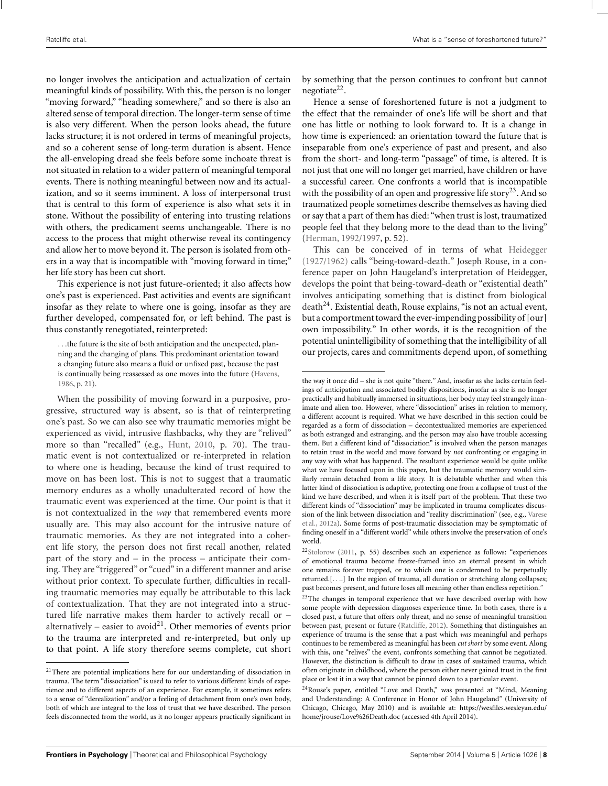no longer involves the anticipation and actualization of certain meaningful kinds of possibility. With this, the person is no longer "moving forward," "heading somewhere," and so there is also an altered sense of temporal direction. The longer-term sense of time is also very different. When the person looks ahead, the future lacks structure; it is not ordered in terms of meaningful projects, and so a coherent sense of long-term duration is absent. Hence the all-enveloping dread she feels before some inchoate threat is not situated in relation to a wider pattern of meaningful temporal events. There is nothing meaningful between now and its actualization, and so it seems imminent. A loss of interpersonal trust that is central to this form of experience is also what sets it in stone. Without the possibility of entering into trusting relations with others, the predicament seems unchangeable. There is no access to the process that might otherwise reveal its contingency and allow her to move beyond it. The person is isolated from others in a way that is incompatible with "moving forward in time;" her life story has been cut short.

This experience is not just future-oriented; it also affects how one's past is experienced. Past activities and events are significant insofar as they relate to where one is going, insofar as they are further developed, compensated for, or left behind. The past is thus constantly renegotiated, reinterpreted:

When the possibility of moving forward in a purposive, progressive, structured way is absent, so is that of reinterpreting one's past. So we can also see why traumatic memories might be experienced as vivid, intrusive flashbacks, why they are "relived" more so than "recalled" (e.g., [Hunt, 2010](#page-11-0), p. 70). The traumatic event is not contextualized or re-interpreted in relation to where one is heading, because the kind of trust required to move on has been lost. This is not to suggest that a traumatic memory endures as a wholly unadulterated record of how the traumatic event was experienced at the time. Our point is that it is not contextualized in the *way* that remembered events more usually are. This may also account for the intrusive nature of traumatic memories. As they are not integrated into a coherent life story, the person does not first recall another, related part of the story and – in the process – anticipate their coming. They are "triggered" or "cued" in a different manner and arise without prior context. To speculate further, difficulties in recalling traumatic memories may equally be attributable to this lack of contextualization. That they are not integrated into a structured life narrative makes them harder to actively recall or – alternatively – easier to avoid<sup>21</sup>. Other memories of events prior to the trauma are interpreted and re-interpreted, but only up to that point. A life story therefore seems complete, cut short by something that the person continues to confront but cannot negotiate $^{22}$ .

Hence a sense of foreshortened future is not a judgment to the effect that the remainder of one's life will be short and that one has little or nothing to look forward to. It is a change in how time is experienced: an orientation toward the future that is inseparable from one's experience of past and present, and also from the short- and long-term "passage" of time, is altered. It is not just that one will no longer get married, have children or have a successful career. One confronts a world that is incompatible with the possibility of an open and progressive life story<sup>23</sup>. And so traumatized people sometimes describe themselves as having died or say that a part of them has died: "when trust is lost, traumatized people feel that they belong more to the dead than to the living" [\(Herman](#page-10-0), [1992/1997,](#page-10-0) p. 52).

This can be conceived of in terms of what [Heidegger](#page-10-0) [\(1927/1962](#page-10-0)) calls "being-toward-death." Joseph Rouse, in a conference paper on John Haugeland's interpretation of Heidegger, develops the point that being-toward-death or "existential death" involves anticipating something that is distinct from biological death<sup>24</sup>. Existential death, Rouse explains, "is not an actual event, but a comportment toward the ever-impending possibility of [our] own impossibility." In other words, it is the recognition of the potential unintelligibility of something that the intelligibility of all our projects, cares and commitments depend upon, of something

<sup>...</sup>the future is the site of both anticipation and the unexpected, planning and the changing of plans. This predominant orientation toward a changing future also means a fluid or unfixed past, because the past is continually being reassessed as one moves into the future [\(Havens](#page-10-0), [1986,](#page-10-0) p. 21).

<sup>&</sup>lt;sup>21</sup>There are potential implications here for our understanding of dissociation in trauma. The term "dissociation" is used to refer to various different kinds of experience and to different aspects of an experience. For example, it sometimes refers to a sense of "derealization" and/or a feeling of detachment from one's own body, both of which are integral to the loss of trust that we have described. The person feels disconnected from the world, as it no longer appears practically significant in

the way it once did – she is not quite "there." And, insofar as she lacks certain feelings of anticipation and associated bodily dispositions, insofar as she is no longer practically and habitually immersed in situations, her body may feel strangely inanimate and alien too. However, where "dissociation" arises in relation to memory, a different account is required. What we have described in this section could be regarded as a form of dissociation – decontextualized memories are experienced as both estranged and estranging, and the person may also have trouble accessing them. But a different kind of "dissociation" is involved when the person manages to retain trust in the world and move forward by *not* confronting or engaging in any way with what has happened. The resultant experience would be quite unlike what we have focused upon in this paper, but the traumatic memory would similarly remain detached from a life story. It is debatable whether and when this latter kind of dissociation is adaptive, protecting one from a collapse of trust of the kind we have described, and when it is itself part of the problem. That these two different kinds of "dissociation" may be implicated in trauma complicates discussion [of](#page-11-0) [the](#page-11-0) [link](#page-11-0) [between](#page-11-0) [dissociation](#page-11-0) [and](#page-11-0) ["reality](#page-11-0) [discrimination"](#page-11-0) [\(see,](#page-11-0) [e.g.,](#page-11-0) Varese et al., [2012a](#page-11-0)). Some forms of post-traumatic dissociation may be symptomatic of finding oneself in a "different world" while others involve the preservation of one's world.

<sup>2</sup>[2Stolorow](#page-11-0) [\(2011](#page-11-0), p. 55) describes such an experience as follows: "experiences of emotional trauma become freeze-framed into an eternal present in which one remains forever trapped, or to which one is condemned to be perpetually returned.[....] In the region of trauma, all duration or stretching along collapses; past becomes present, and future loses all meaning other than endless repetition."

<sup>&</sup>lt;sup>23</sup>The changes in temporal experience that we have described overlap with how some people with depression diagnoses experience time. In both cases, there is a closed past, a future that offers only threat, and no sense of meaningful transition between past, present or future [\(Ratcliffe](#page-11-0), [2012\)](#page-11-0). Something that distinguishes an experience of trauma is the sense that a past which *was* meaningful and perhaps continues to be remembered as meaningful has been *cut short* by some event. Along with this, one "relives" the event, confronts something that cannot be negotiated. However, the distinction is difficult to draw in cases of sustained trauma, which often originate in childhood, where the person either never gained trust in the first place or lost it in a way that cannot be pinned down to a particular event.

<sup>24</sup>Rouse's paper, entitled "Love and Death," was presented at "Mind, Meaning and Understanding: A Conference in Honor of John Haugeland" (University of Chicago, Chicago, May 2010) and is available at: [https://wesfiles.wesleyan.edu/](https://wesfiles.wesleyan.edu/home/jrouse/Love%26Death.doc) [home/jrouse/Love%26Death.doc](https://wesfiles.wesleyan.edu/home/jrouse/Love%26Death.doc) (accessed 4th April 2014).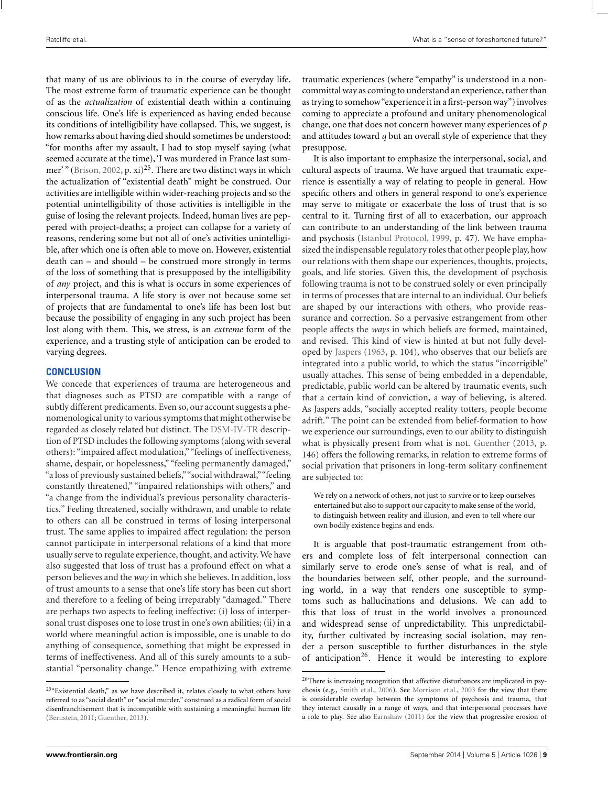that many of us are oblivious to in the course of everyday life. The most extreme form of traumatic experience can be thought of as the *actualization* of existential death within a continuing conscious life. One's life is experienced as having ended because its conditions of intelligibility have collapsed. This, we suggest, is how remarks about having died should sometimes be understood: "for months after my assault, I had to stop myself saying (what seemed accurate at the time), 'I was murdered in France last sum-mer' " [\(Brison](#page-10-0), [2002](#page-10-0), p. xi)<sup>25</sup>. There are two distinct ways in which the actualization of "existential death" might be construed. Our activities are intelligible within wider-reaching projects and so the potential unintelligibility of those activities is intelligible in the guise of losing the relevant projects. Indeed, human lives are peppered with project-deaths; a project can collapse for a variety of reasons, rendering some but not all of one's activities unintelligible, after which one is often able to move on. However, existential death can – and should – be construed more strongly in terms of the loss of something that is presupposed by the intelligibility of *any* project, and this is what is occurs in some experiences of interpersonal trauma. A life story is over not because some set of projects that are fundamental to one's life has been lost but because the possibility of engaging in any such project has been lost along with them. This, we stress, is an *extreme* form of the experience, and a trusting style of anticipation can be eroded to varying degrees.

#### **CONCLUSION**

We concede that experiences of trauma are heterogeneous and that diagnoses such as PTSD are compatible with a range of subtly different predicaments. Even so, our account suggests a phenomenological unity to various symptoms that might otherwise be regarded as closely related but distinct. The [DSM-IV-](#page-10-0)TR description of PTSD includes the following symptoms (along with several others): "impaired affect modulation," "feelings of ineffectiveness, shame, despair, or hopelessness," "feeling permanently damaged," "a loss of previously sustained beliefs,""social withdrawal,""feeling constantly threatened," "impaired relationships with others," and "a change from the individual's previous personality characteristics." Feeling threatened, socially withdrawn, and unable to relate to others can all be construed in terms of losing interpersonal trust. The same applies to impaired affect regulation: the person cannot participate in interpersonal relations of a kind that more usually serve to regulate experience, thought, and activity. We have also suggested that loss of trust has a profound effect on what a person believes and the *way* in which she believes. In addition, loss of trust amounts to a sense that one's life story has been cut short and therefore to a feeling of being irreparably "damaged." There are perhaps two aspects to feeling ineffective: (i) loss of interpersonal trust disposes one to lose trust in one's own abilities; (ii) in a world where meaningful action is impossible, one is unable to do anything of consequence, something that might be expressed in terms of ineffectiveness. And all of this surely amounts to a substantial "personality change." Hence empathizing with extreme traumatic experiences (where "empathy" is understood in a noncommittal way as coming to understand an experience, rather than as trying to somehow"experience it in a first-person way") involves coming to appreciate a profound and unitary phenomenological change, one that does not concern however many experiences of *p* and attitudes toward *q* but an overall style of experience that they presuppose.

It is also important to emphasize the interpersonal, social, and cultural aspects of trauma. We have argued that traumatic experience is essentially a way of relating to people in general. How specific others and others in general respond to one's experience may serve to mitigate or exacerbate the loss of trust that is so central to it. Turning first of all to exacerbation, our approach can contribute to an understanding of the link between trauma and psychosis [\(Istanbul Protocol, 1999,](#page-11-0) p. 47). We have emphasized the indispensable regulatory roles that other people play, how our relations with them shape our experiences, thoughts, projects, goals, and life stories. Given this, the development of psychosis following trauma is not to be construed solely or even principally in terms of processes that are internal to an individual. Our beliefs are shaped by our interactions with others, who provide reassurance and correction. So a pervasive estrangement from other people affects the *ways* in which beliefs are formed, maintained, and revised. This kind of view is hinted at but not fully developed by [Jaspers](#page-11-0) [\(1963](#page-11-0), p. 104), who observes that our beliefs are integrated into a public world, to which the status "incorrigible" usually attaches. This sense of being embedded in a dependable, predictable, public world can be altered by traumatic events, such that a certain kind of conviction, a way of believing, is altered. As Jaspers adds, "socially accepted reality totters, people become adrift." The point can be extended from belief-formation to how we experience our surroundings, even to our ability to distinguish what is physically present from what is not. [Guenther](#page-10-0) [\(2013](#page-10-0), p. 146) offers the following remarks, in relation to extreme forms of social privation that prisoners in long-term solitary confinement are subjected to:

We rely on a network of others, not just to survive or to keep ourselves entertained but also to support our capacity to make sense of the world, to distinguish between reality and illusion, and even to tell where our own bodily existence begins and ends.

It is arguable that post-traumatic estrangement from others and complete loss of felt interpersonal connection can similarly serve to erode one's sense of what is real, and of the boundaries between self, other people, and the surrounding world, in a way that renders one susceptible to symptoms such as hallucinations and delusions. We can add to this that loss of trust in the world involves a pronounced and widespread sense of unpredictability. This unpredictability, further cultivated by increasing social isolation, may render a person susceptible to further disturbances in the style of anticipation<sup>26</sup>. Hence it would be interesting to explore

<sup>&</sup>lt;sup>25</sup>"Existential death," as we have described it, relates closely to what others have referred to as "social death" or "social murder," construed as a radical form of social disenfranchisement that is incompatible with sustaining a meaningful human life [\(Bernstein, 2011](#page-10-0); [Guenther](#page-10-0), [2013\)](#page-10-0).

<sup>26</sup>There is increasing recognition that affective disturbances are implicated in psychosis (e.g., [Smith et al., 2006](#page-11-0)). See [Morrison et al.](#page-11-0), [2003](#page-11-0) for the view that there is considerable overlap between the symptoms of psychosis and trauma, that they interact causally in a range of ways, and that interpersonal processes have a role to play. See also [Earnshaw](#page-10-0) [\(2011\)](#page-10-0) for the view that progressive erosion of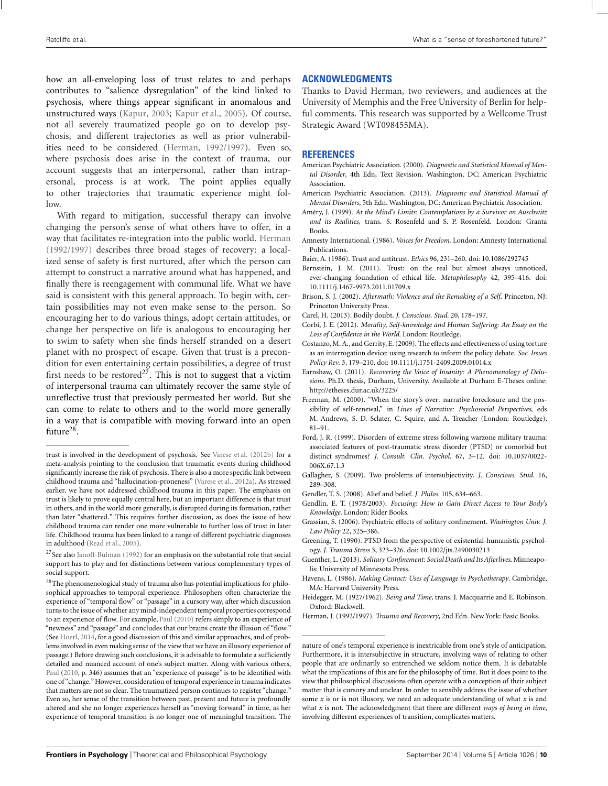<span id="page-10-0"></span>how an all-enveloping loss of trust relates to and perhaps contributes to "salience dysregulation" of the kind linked to psychosis, where things appear significant in anomalous and unstructured ways [\(Kapur](#page-11-0), [2003;](#page-11-0) [Kapur et al., 2005\)](#page-11-0). Of course, not all severely traumatized people go on to develop psychosis, and different trajectories as well as prior vulnerabilities need to be considered (Herman, 1992/1997). Even so, where psychosis does arise in the context of trauma, our account suggests that an interpersonal, rather than intrapersonal, process is at work. The point applies equally to other trajectories that traumatic experience might follow.

With regard to mitigation, successful therapy can involve changing the person's sense of what others have to offer, in a way that facilitates re-integration into the public world. Herman (1992/1997) describes three broad stages of recovery: a localized sense of safety is first nurtured, after which the person can attempt to construct a narrative around what has happened, and finally there is reengagement with communal life. What we have said is consistent with this general approach. To begin with, certain possibilities may not even make sense to the person. So encouraging her to do various things, adopt certain attitudes, or change her perspective on life is analogous to encouraging her to swim to safety when she finds herself stranded on a desert planet with no prospect of escape. Given that trust is a precondition for even entertaining certain possibilities, a degree of trust first needs to be restored<sup>27</sup>. This is not to suggest that a victim of interpersonal trauma can ultimately recover the same style of unreflective trust that previously permeated her world. But she can come to relate to others and to the world more generally in a way that is compatible with moving forward into an open future<sup>28</sup>.

#### **ACKNOWLEDGMENTS**

Thanks to David Herman, two reviewers, and audiences at the University of Memphis and the Free University of Berlin for helpful comments. This research was supported by a Wellcome Trust Strategic Award (WT098455MA).

#### **REFERENCES**

- American Psychiatric Association. (2000). *Diagnostic and Statistical Manual of Mental Disorder*, 4th Edn, Text Revision. Washington, DC: American Psychiatric Association.
- American Psychiatric Association. (2013). *Diagnostic and Statistical Manual of Mental Disorders*, 5th Edn. Washington, DC: American Psychiatric Association.
- Améry, J. (1999). *At the Mind's Limits: Contemplations by a Survivor on Auschwitz and its Realities,* trans. S. Rosenfeld and S. P. Rosenfeld. London: Granta Books.
- Amnesty International. (1986). *Voices for Freedom*. London: Amnesty International Publications.
- Baier, A. (1986). Trust and antitrust. *Ethics* 96, 231–260. doi: 10.1086/292745
- Bernstein, J. M. (2011). Trust: on the real but almost always unnoticed, ever-changing foundation of ethical life. *Metaphilosophy* 42, 395–416. doi: 10.1111/j.1467-9973.2011.01709.x
- Brison, S. J. (2002). *Aftermath: Violence and the Remaking of a Self*. Princeton, NJ: Princeton University Press.
- Carel, H. (2013). Bodily doubt. *J. Conscious. Stud.* 20, 178–197.
- Corbí, J. E. (2012). *Morality, Self-knowledge and Human Suffering: An Essay on the Loss of Confidence in the World*. London: Routledge.
- Costanzo, M. A., and Gerrity, E. (2009). The effects and effectiveness of using torture as an interrogation device: using research to inform the policy debate. *Soc. Issues Policy Rev.* 3, 179–210. doi: 10.1111/j.1751-2409.2009.01014.x
- Earnshaw, O. (2011). *Recovering the Voice of Insanity: A Phenomenology of Delusions*. Ph.D. thesis, Durham, University. Available at Durham E-Theses online: <http://etheses.dur.ac.uk/3225/>
- Freeman, M. (2000). "When the story's over: narrative foreclosure and the possibility of self-renewal," in *Lines of Narrative: Psychosocial Perspectives*, eds M. Andrews, S. D. Sclater, C. Squire, and A. Treacher (London: Routledge), 81–91.
- Ford, J. R. (1999). Disorders of extreme stress following warzone military trauma: associated features of post-traumatic stress disorder (PTSD) or comorbid but distinct syndromes? *J. Consult. Clin. Psychol.* 67, 3–12. doi: 10.1037/0022- 006X.67.1.3
- Gallagher, S. (2009). Two problems of intersubjectivity. *J. Conscious. Stud.* 16, 289–308.
- Gendler, T. S. (2008). Alief and belief. *J. Philos.* 105, 634–663.
- Gendlin, E. T. (1978/2003). *Focusing: How to Gain Direct Access to Your Body's Knowledge*. London: Rider Books.
- Grassian, S. (2006). Psychiatric effects of solitary confinement. *Washington Univ. J. Law Policy* 22, 325–386.
- Greening, T. (1990). PTSD from the perspective of existential-humanistic psychology. *J. Trauma Stress* 3, 323–326. doi: 10.1002/jts.2490030213
- Guenther, L. (2013). *Solitary Confinement: Social Death and Its Afterlives*. Minneapolis: University of Minnesota Press.
- Havens, L. (1986). *Making Contact: Uses of Language in Psychotherapy*. Cambridge, MA: Harvard University Press.
- Heidegger, M. (1927/1962). *Being and Time,* trans. J. Macquarrie and E. Robinson. Oxford: Blackwell.
- Herman, J. (1992/1997). *Trauma and Recovery*, 2nd Edn. New York: Basic Books.

trust is involved in the development of psychosis. See [Varese et al.](#page-11-0) [\(2012b](#page-11-0)) for a meta-analysis pointing to the conclusion that traumatic events during childhood significantly increase the risk of psychosis. There is also a more specific link between childhood trauma and "hallucination-proneness" [\(Varese et al., 2012a](#page-11-0)). As stressed earlier, we have not addressed childhood trauma in this paper. The emphasis on trust is likely to prove equally central here, but an important difference is that trust in others, and in the world more generally, is disrupted during its formation, rather than later "shattered." This requires further discussion, as does the issue of how childhood trauma can render one more vulnerable to further loss of trust in later life. Childhood trauma has been linked to a range of different psychiatric diagnoses in adulthood [\(Read et al., 2005\)](#page-11-0).

<sup>&</sup>lt;sup>27</sup>See also [Janoff-Bulman](#page-11-0) [\(1992\)](#page-11-0) for an emphasis on the substantial role that social support has to play and for distinctions between various complementary types of social support.

 $^{28}\mathrm{The}$  phenomenological study of trauma also has potential implications for philosophical approaches to temporal experience. Philosophers often characterize the experience of "temporal flow" or "passage" in a cursory way, after which discussion turns to the issue of whether any mind-independent temporal properties correspond to an experience of flow. For example, [Paul](#page-11-0) [\(2010](#page-11-0)) refers simply to an experience of "newness" and "passage" and concludes that our brains create the illusion of "flow." (See [Hoerl, 2014](#page-11-0), for a good discussion of this and similar approaches, and of problems involved in even making sense of the view that we have an illusory experience of passage.) Before drawing such conclusions, it is advisable to formulate a sufficiently detailed and nuanced account of one's subject matter. Along with various others, [Paul](#page-11-0) [\(2010](#page-11-0), p. 346) assumes that an "experience of passage" is to be identified with one of "change." However, consideration of temporal experience in trauma indicates that matters are not so clear. The traumatized person continues to register "change." Even so, her sense of the transition between past, present and future is profoundly altered and she no longer experiences herself as "moving forward" in time, as her experience of temporal transition is no longer one of meaningful transition. The

nature of one's temporal experience is inextricable from one's style of anticipation. Furthermore, it is intersubjective in structure, involving ways of relating to other people that are ordinarily so entrenched we seldom notice them. It is debatable what the implications of this are for the philosophy of time. But it does point to the view that philosophical discussions often operate with a conception of their subject matter that is cursory and unclear. In order to sensibly address the issue of whether some *x* is or is not illusory, we need an adequate understanding of what *x* is and what *x* is not. The acknowledgment that there are different *ways of being in time*, involving different experiences of transition, complicates matters.